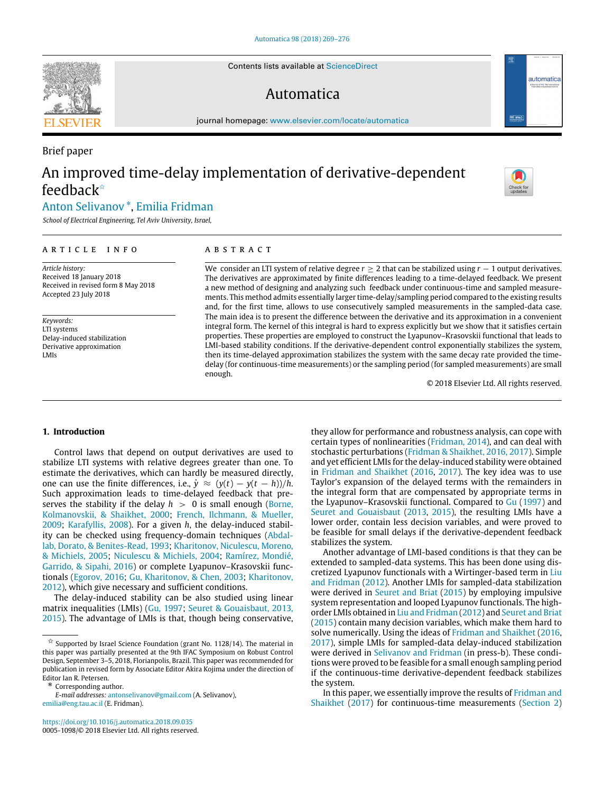Contents lists available at [ScienceDirect](http://www.elsevier.com/locate/automatica)

# Automatica

journal homepage: [www.elsevier.com/locate/automatica](http://www.elsevier.com/locate/automatica)

# Brief paper An improved time-delay implementation of derivative-dependent feedback[✩](#page-0-0)

# [Anton](#page-7-0) [Selivanov](#page-7-0) [\\*](#page-0-1), [Emilia](#page-7-1) [Fridman](#page-7-1)

*School of Electrical Engineering, Tel Aviv University, Israel,*

#### a r t i c l e i n f o

*Article history:* Received 18 January 2018 Received in revised form 8 May 2018 Accepted 23 July 2018

*Keywords:* LTI systems Delay-induced stabilization Derivative approximation LMIs

### a b s t r a c t

We consider an LTI system of relative degree *r* ≥ 2 that can be stabilized using *r* − 1 output derivatives. The derivatives are approximated by finite differences leading to a time-delayed feedback. We present a new method of designing and analyzing such feedback under continuous-time and sampled measurements. This method admits essentially larger time-delay/sampling period compared to the existing results and, for the first time, allows to use consecutively sampled measurements in the sampled-data case. The main idea is to present the difference between the derivative and its approximation in a convenient integral form. The kernel of this integral is hard to express explicitly but we show that it satisfies certain properties. These properties are employed to construct the Lyapunov–Krasovskii functional that leads to LMI-based stability conditions. If the derivative-dependent control exponentially stabilizes the system, then its time-delayed approximation stabilizes the system with the same decay rate provided the timedelay (for continuous-time measurements) or the sampling period (for sampled measurements) are small enough.

© 2018 Elsevier Ltd. All rights reserved.

# **1. Introduction**

Control laws that depend on output derivatives are used to stabilize LTI systems with relative degrees greater than one. To estimate the derivatives, which can hardly be measured directly, one can use the finite differences, i.e.,  $\dot{y} \approx (y(t) - y(t - h))/h$ . Such approximation leads to time-delayed feedback that preserves the stability if the delay  $h > 0$  is small enough [\(Borne,](#page-6-0) [Kolmanovskii,](#page-6-0) [&](#page-6-0) [Shaikhet,](#page-6-0) [2000;](#page-6-0) [French,](#page-6-1) [Ilchmann,](#page-6-1) [&](#page-6-1) [Mueller,](#page-6-1) [2009;](#page-6-1) [Karafyllis,](#page-7-2) [2008\)](#page-7-2). For a given *h*, the delay-induced stability can be checked using frequency-domain techniques [\(Abdal](#page-6-2)[lab,](#page-6-2) [Dorato,](#page-6-2) [&](#page-6-2) [Benites-Read,](#page-6-2) [1993](#page-6-2); [Kharitonov,](#page-7-3) [Niculescu,](#page-7-3) [Moreno,](#page-7-3) [&](#page-7-3) [Michiels,](#page-7-3) [2005;](#page-7-3) [Niculescu](#page-7-4) [&](#page-7-4) [Michiels,](#page-7-4) [2004;](#page-7-4) [Ramírez,](#page-7-5) [Mondié,](#page-7-5) [Garrido,](#page-7-5) [&](#page-7-5) [Sipahi,](#page-7-5) [2016](#page-7-5)) or complete Lyapunov–Krasovskii functionals ([Egorov,](#page-6-3) [2016](#page-6-3); [Gu,](#page-7-6) [Kharitonov,](#page-7-6) [&](#page-7-6) [Chen,](#page-7-6) [2003;](#page-7-6) [Kharitonov,](#page-7-7) [2012\)](#page-7-7), which give necessary and sufficient conditions.

The delay-induced stability can be also studied using linear matrix inequalities (LMIs) [\(Gu,](#page-7-8) [1997](#page-7-8); [Seuret](#page-7-9) [&](#page-7-9) [Gouaisbaut,](#page-7-9) [2013,](#page-7-9) [2015\)](#page-7-9). The advantage of LMIs is that, though being conservative,

*E-mail addresses:* [antonselivanov@gmail.com](mailto:antonselivanov@gmail.com) (A. Selivanov), [emilia@eng.tau.ac.il](mailto:emilia@eng.tau.ac.il) (E. Fridman).

<https://doi.org/10.1016/j.automatica.2018.09.035> 0005-1098/© 2018 Elsevier Ltd. All rights reserved. they allow for performance and robustness analysis, can cope with certain types of nonlinearities [\(Fridman,](#page-6-4) [2014\)](#page-6-4), and can deal with stochastic perturbations ([Fridman](#page-7-10) [&](#page-7-10) [Shaikhet,](#page-7-10) [2016,](#page-7-10) [2017](#page-7-10)). Simple and yet efficient LMIs for the delay-induced stability were obtained in [Fridman](#page-7-10) [and](#page-7-10) [Shaikhet](#page-7-10) ([2016,](#page-7-10) [2017](#page-7-10)). The key idea was to use Taylor's expansion of the delayed terms with the remainders in the integral form that are compensated by appropriate terms in the Lyapunov–Krasovskii functional. Compared to [Gu](#page-7-8) [\(1997\)](#page-7-8) and [Seuret](#page-7-9) [and](#page-7-9) [Gouaisbaut](#page-7-9) ([2013,](#page-7-9) [2015\)](#page-7-9), the resulting LMIs have a lower order, contain less decision variables, and were proved to be feasible for small delays if the derivative-dependent feedback stabilizes the system.

Another advantage of LMI-based conditions is that they can be extended to sampled-data systems. This has been done using discretized Lyapunov functionals with a Wirtinger-based term in [Liu](#page-7-11) [and](#page-7-11) [Fridman](#page-7-11) ([2012](#page-7-11)). Another LMIs for sampled-data stabilization were derived in [Seuret](#page-7-12) [and](#page-7-12) [Briat](#page-7-12) [\(2015](#page-7-12)) by employing impulsive system representation and looped Lyapunov functionals. The highorder LMIs obtained in [Liu](#page-7-11) [and](#page-7-11) [Fridman](#page-7-11) [\(2012](#page-7-11)) and [Seuret](#page-7-12) [and](#page-7-12) [Briat](#page-7-12) ([2015\)](#page-7-12) contain many decision variables, which make them hard to solve numerically. Using the ideas of [Fridman](#page-7-10) [and](#page-7-10) [Shaikhet](#page-7-10) [\(2016,](#page-7-10) [2017\)](#page-7-10), simple LMIs for sampled-data delay-induced stabilization were derived in [Selivanov](#page-7-13) [and](#page-7-13) [Fridman](#page-7-13) (in press-b). These conditions were proved to be feasible for a small enough sampling period if the continuous-time derivative-dependent feedback stabilizes the system.

In this paper, we essentially improve the results of [Fridman](#page-7-14) [and](#page-7-14) [Shaikhet](#page-7-14) ([2017\)](#page-7-14) for continuous-time measurements ([Section 2\)](#page-1-0)





<span id="page-0-0"></span> $\overrightarrow{x}$  Supported by Israel Science Foundation (grant No. 1128/14). The material in this paper was partially presented at the 9th IFAC Symposium on Robust Control Design, September 3–5, 2018, Florianpolis, Brazil. This paper was recommended for publication in revised form by Associate Editor Akira Kojima under the direction of Editor Ian R. Petersen.

<span id="page-0-1"></span><sup>\*</sup> Corresponding author.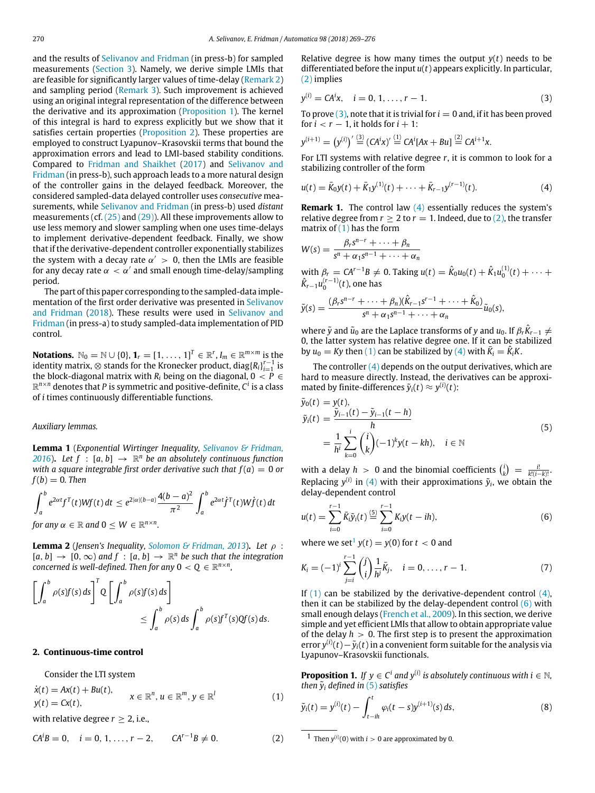and the results of [Selivanov](#page-7-13) [and](#page-7-13) [Fridman](#page-7-13) (in press-b) for sampled measurements ([Section 3](#page-4-0)). Namely, we derive simple LMIs that are feasible for significantly larger values of time-delay ([Remark 2\)](#page-4-1) and sampling period ([Remark 3](#page-6-5)). Such improvement is achieved using an original integral representation of the difference between the derivative and its approximation [\(Proposition 1](#page-1-1)). The kernel of this integral is hard to express explicitly but we show that it satisfies certain properties ([Proposition 2\)](#page-2-0). These properties are employed to construct Lyapunov–Krasovskii terms that bound the approximation errors and lead to LMI-based stability conditions. Compared to [Fridman](#page-7-14) [and](#page-7-14) [Shaikhet](#page-7-14) ([2017\)](#page-7-14) and [Selivanov](#page-7-13) [and](#page-7-13) [Fridman](#page-7-13) (in press-b), such approach leads to a more natural design of the controller gains in the delayed feedback. Moreover, the considered sampled-data delayed controller uses *consecutive* measurements, while [Selivanov](#page-7-13) [and](#page-7-13) [Fridman](#page-7-13) (in press-b) used *distant* measurements (cf. [\(25\)](#page-4-2) and [\(29\)\)](#page-6-6). All these improvements allow to use less memory and slower sampling when one uses time-delays to implement derivative-dependent feedback. Finally, we show that if the derivative-dependent controller exponentially stabilizes the system with a decay rate  $\alpha' > 0$ , then the LMIs are feasible for any decay rate  $\alpha\,<\,\alpha'$  and small enough time-delay/sampling period.

The part of this paper corresponding to the sampled-data implementation of the first order derivative was presented in [Selivanov](#page-7-15) [and](#page-7-15) [Fridman](#page-7-15) ([2018\)](#page-7-15). These results were used in [Selivanov](#page-7-16) [and](#page-7-16) [Fridman](#page-7-16) (in press-a) to study sampled-data implementation of PID control.

**Notations.**  $\mathbb{N}_0 = \mathbb{N} \cup \{0\}$ ,  $\mathbf{1}_r = [1, \ldots, 1]^T \in \mathbb{R}^r$ ,  $I_m \in \mathbb{R}^{m \times m}$  is the identity matrix,  $\otimes$  stands for the Kronecker product,  $\mathrm{diag}[R_i]_{i=1}^{r-1}$  is the block-diagonal matrix with  $R_i$  being on the diagonal,  $0 < P \in$ R *<sup>n</sup>*×*<sup>n</sup>* denotes that *P* is symmetric and positive-definite, *C i* is a class of *i* times continuously differentiable functions.

## *Auxiliary lemmas.*

<span id="page-1-11"></span>**Lemma 1** (*Exponential Wirtinger Inequality, [Selivanov](#page-7-17) [&](#page-7-17) [Fridman,](#page-7-17) [2016](#page-7-17)*). Let  $f : [a, b] \rightarrow \mathbb{R}^n$  be an absolutely continuous function *with a square integrable first order derivative such that*  $f(a) = 0$  *or*  $f(b) = 0$ . Then

$$
\int_a^b e^{2\alpha t} f^T(t)Wf(t) dt \le e^{2|\alpha|(b-a)} \frac{4(b-a)^2}{\pi^2} \int_a^b e^{2\alpha t} f^T(t)Wf(t) dt
$$
  
for any  $\alpha \in \mathbb{R}$  and  $0 \le W \in \mathbb{R}^{n \times n}$ .

**Lemma 2** (*Jensen's Inequality, [Solomon](#page-7-18) [&](#page-7-18) [Fridman,](#page-7-18) [2013](#page-7-18)*)**.** *Let* ρ :  $[a, b] \rightarrow [0, \infty)$  and  $f : [a, b] \rightarrow \mathbb{R}^n$  be such that the integration *concerned is well-defined. Then for any*  $0 < Q \in \mathbb{R}^{n \times n}$ ,

$$
\left[\int_a^b \rho(s)f(s) ds\right]^T Q \left[\int_a^b \rho(s)f(s) ds\right]
$$
  

$$
\leq \int_a^b \rho(s) ds \int_a^b \rho(s)f^T(s)Qf(s) ds.
$$

### <span id="page-1-0"></span>**2. Continuous-time control**

Consider the LTI system

<span id="page-1-5"></span>
$$
\dot{x}(t) = Ax(t) + Bu(t),
$$
  
\n
$$
y(t) = Cx(t),
$$
  
\n
$$
x \in \mathbb{R}^n, u \in \mathbb{R}^m, y \in \mathbb{R}^l
$$
\n(1)

with relative degree  $r > 2$ , i.e.,

<span id="page-1-2"></span>
$$
CA^{i}B = 0, \quad i = 0, 1, ..., r - 2, \qquad CA^{r-1}B \neq 0.
$$
 (2)

Relative degree is how many times the output *y*(*t*) needs to be differentiated before the input *u*(*t*) appears explicitly. In particular, [\(2\)](#page-1-2) implies

<span id="page-1-3"></span>
$$
y^{(i)} = CA^i x, \quad i = 0, 1, ..., r - 1.
$$
 (3)

To prove  $(3)$ , note that it is trivial for  $i = 0$  and, if it has been proved for  $i < r - 1$ , it holds for  $i + 1$ :

$$
y^{(i+1)} = (y^{(i)})' \stackrel{(3)}{=} (CA^i x)' \stackrel{(1)}{=} CA^i [Ax + Bu] \stackrel{(2)}{=} CA^{i+1}x.
$$

For LTI systems with relative degree *r*, it is common to look for a stabilizing controller of the form

<span id="page-1-4"></span>
$$
u(t) = \bar{K}_0 y(t) + \bar{K}_1 y^{(1)}(t) + \dots + \bar{K}_{r-1} y^{(r-1)}(t).
$$
 (4)

**Remark 1.** The control law [\(4\)](#page-1-4) essentially reduces the system's relative degree from  $r \geq 2$  to  $r = 1$ . Indeed, due to [\(2\),](#page-1-2) the transfer matrix of  $(1)$  has the form

$$
W(s) = \frac{\beta_r s^{n-r} + \dots + \beta_n}{s^n + \alpha_1 s^{n-1} + \dots + \alpha_n}
$$
  
with  $\beta$ ,  $CA^{r-1}P$ ,  $(A, T\text{-b})$  with  $\hat{K}$ ,  $(A) + \hat{K}$ ,  $(1)(A) + \hat{K}$ 

with  $\beta_r = CA^{r-1}B \neq 0$ . Taking  $u(t) = \hat{K}_0 u_0(t) + \hat{K}_1 u_0^{(1)}(t) + \cdots$  $\hat{K}_{r-1}u_0^{(r-1)}(t)$ , one has

$$
\tilde{y}(s) = \frac{(\beta_r s^{n-r} + \dots + \beta_n)(\hat{K}_{r-1} s^{r-1} + \dots + \hat{K}_0)}{s^n + \alpha_1 s^{n-1} + \dots + \alpha_n} \tilde{u}_0(s),
$$

where  $\tilde{y}$  and  $\tilde{u}_0$  are the Laplace transforms of  $y$  and  $u_0$ . If  $\beta_r \hat{K}_{r-1} \neq 0$ 0, the latter system has relative degree one. If it can be stabilized by  $u_0 = Ky$  then [\(1\)](#page-1-5) can be stabilized by [\(4\)](#page-1-4) with  $\bar{K}_i = \hat{K}_i K$ .

The controller  $(4)$  depends on the output derivatives, which are hard to measure directly. Instead, the derivatives can be approximated by finite-differences  $\tilde{y}_i(t) \approx y^{(i)}(t)$ :

<span id="page-1-8"></span>
$$
\tilde{y}_0(t) = y(t), \n\tilde{y}_i(t) = \frac{\tilde{y}_{i-1}(t) - \tilde{y}_{i-1}(t-h)}{h} \n= \frac{1}{h^i} \sum_{k=0}^i {i \choose k} (-1)^k y(t - kh), \quad i \in \mathbb{N}
$$
\n(5)

with a delay  $h > 0$  and the binomial coefficients  $\binom{i}{k} = \frac{i!}{k!(i-k)!}$ . Replacing  $y^{(i)}$  in [\(4\)](#page-1-4) with their approximations  $\tilde{y}_i$ , we obtain the delay-dependent control

<span id="page-1-7"></span>
$$
u(t) = \sum_{i=0}^{r-1} \bar{K}_i \tilde{y}_i(t) \stackrel{(5)}{=} \sum_{i=0}^{r-1} K_i y(t - ih), \tag{6}
$$

where we set<sup>[1](#page-1-6)</sup>  $y(t) = y(0)$  for  $t < 0$  and

<span id="page-1-10"></span>
$$
K_i = (-1)^i \sum_{j=i}^{r-1} {j \choose i} \frac{1}{h^j} \bar{K}_j, \quad i = 0, \dots, r-1.
$$
 (7)

If  $(1)$  can be stabilized by the derivative-dependent control  $(4)$ , then it can be stabilized by the delay-dependent control  $(6)$  with small enough delays ([French](#page-6-1) [et](#page-6-1) [al.,](#page-6-1) [2009](#page-6-1)). In this section, we derive simple and yet efficient LMIs that allow to obtain appropriate value of the delay  $h > 0$ . The first step is to present the approximation error  $y^{(i)}(t) - \tilde{y}_i(t)$  in a convenient form suitable for the analysis via Lyapunov–Krasovskii functionals.

<span id="page-1-1"></span>**Proposition 1.** *If*  $y \in C^i$  and  $y^{(i)}$  is absolutely continuous with  $i \in \mathbb{N}$ , *then*  $\tilde{y}_i$  *defined in* [\(5\)](#page-1-8) *satisfies* 

<span id="page-1-9"></span>
$$
\tilde{y}_i(t) = y^{(i)}(t) - \int_{t-ih}^t \varphi_i(t-s) y^{(i+1)}(s) \, ds,\tag{8}
$$

<span id="page-1-6"></span><sup>&</sup>lt;sup>1</sup> Then  $y^{(i)}(0)$  with  $i > 0$  are approximated by 0.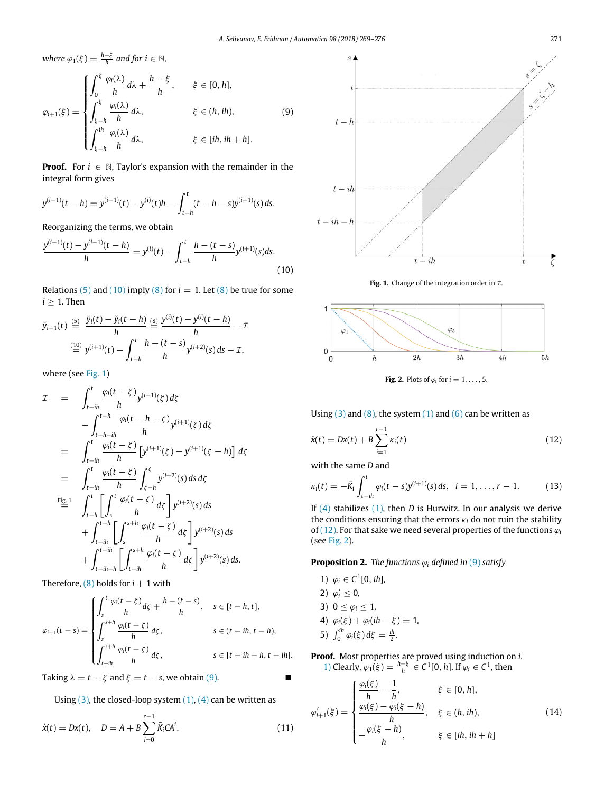$where \varphi_1(\xi) = \frac{h - \xi}{h}$  and for  $i \in \mathbb{N}$ ,

<span id="page-2-3"></span>
$$
\varphi_{i+1}(\xi) = \begin{cases}\n\int_0^{\xi} \frac{\varphi_i(\lambda)}{h} d\lambda + \frac{h - \xi}{h}, & \xi \in [0, h], \\
\int_{\xi - h}^{\xi} \frac{\varphi_i(\lambda)}{h} d\lambda, & \xi \in (h, ih), \\
\int_{\xi - h}^{ih} \frac{\varphi_i(\lambda)}{h} d\lambda, & \xi \in [ih, ih + h].\n\end{cases}
$$
\n(9)

**Proof.** For  $i \in \mathbb{N}$ , Taylor's expansion with the remainder in the integral form gives

$$
y^{(i-1)}(t-h) = y^{(i-1)}(t) - y^{(i)}(t)h - \int_{t-h}^{t} (t-h-s)y^{(i+1)}(s) ds.
$$

Reorganizing the terms, we obtain

<span id="page-2-1"></span>
$$
\frac{y^{(i-1)}(t) - y^{(i-1)}(t-h)}{h} = y^{(i)}(t) - \int_{t-h}^{t} \frac{h - (t-s)}{h} y^{(i+1)}(s) ds.
$$
\n(10)

Relations [\(5\)](#page-1-8) and [\(10\)](#page-2-1) imply [\(8\)](#page-1-9) for  $i = 1$ . Let (8) be true for some  $i \geq 1$ . Then

$$
\tilde{y}_{i+1}(t) \stackrel{(5)}{=} \frac{\tilde{y}_i(t) - \tilde{y}_i(t-h)}{h} \stackrel{(8)}{=} \frac{y^{(i)}(t) - y^{(i)}(t-h)}{h} - \mathcal{I}
$$
\n
$$
\stackrel{(10)}{=} y^{(i+1)}(t) - \int_{t-h}^t \frac{h - (t-s)}{h} y^{(i+2)}(s) \, ds - \mathcal{I},
$$

where (see [Fig. 1](#page-2-2))

$$
\mathcal{I} = \int_{t-ih}^{t} \frac{\varphi_i(t-\zeta)}{h} y^{(i+1)}(\zeta) d\zeta \n- \int_{t-h-ih}^{t-h} \frac{\varphi_i(t-h-\zeta)}{h} y^{(i+1)}(\zeta) d\zeta \n= \int_{t-ih}^{t} \frac{\varphi_i(t-\zeta)}{h} \left[ y^{(i+1)}(\zeta) - y^{(i+1)}(\zeta-h) \right] d\zeta \n= \int_{t-ih}^{t} \frac{\varphi_i(t-\zeta)}{h} \int_{\zeta-h}^{\zeta} y^{(i+2)}(\zeta) d\zeta d\zeta \nFig.1 
$$
\int_{t-h}^{t} \left[ \int_{s}^{t} \frac{\varphi_i(t-\zeta)}{h} d\zeta \right] y^{(i+2)}(\zeta) d\zeta \n+ \int_{t-ih}^{t-h} \left[ \int_{s}^{s+h} \frac{\varphi_i(t-\zeta)}{h} d\zeta \right] y^{(i+2)}(\zeta) d\zeta \n+ \int_{t-ih-h}^{t-ih} \left[ \int_{t-ih}^{s+h} \frac{\varphi_i(t-\zeta)}{h} d\zeta \right] y^{(i+2)}(\zeta) d\zeta.
$$
$$

Therefore,  $(8)$  holds for  $i + 1$  with

$$
\varphi_{i+1}(t-s) = \begin{cases} \int_{s}^{t} \frac{\varphi_{i}(t-\zeta)}{h} d\zeta + \frac{h-(t-s)}{h}, & s \in [t-h, t], \\ \int_{s}^{s+h} \frac{\varphi_{i}(t-\zeta)}{h} d\zeta, & s \in (t-ih, t-h), \\ \int_{t-ih}^{s+h} \frac{\varphi_{i}(t-\zeta)}{h} d\zeta, & s \in [t-ih-h, t-ih]. \end{cases}
$$

Taking  $\lambda = t - \zeta$  and  $\xi = t - s$ , we obtain [\(9\)](#page-2-3).

Using 
$$
(3)
$$
, the closed-loop system  $(1)$ ,  $(4)$  can be written as

<span id="page-2-13"></span>
$$
\dot{x}(t) = Dx(t), \quad D = A + B \sum_{i=0}^{r-1} \bar{K}_i C A^i.
$$
 (11)

<span id="page-2-2"></span>



<span id="page-2-5"></span>

**Fig. 2.** Plots of  $\varphi_i$  for  $i = 1, \ldots, 5$ .

Using  $(3)$  and  $(8)$ , the system  $(1)$  and  $(6)$  can be written as

<span id="page-2-4"></span>
$$
\dot{x}(t) = Dx(t) + B \sum_{i=1}^{r-1} \kappa_i(t)
$$
\n(12)

with the same *D* and

<span id="page-2-12"></span>
$$
\kappa_i(t) = -\bar{K}_i \int_{t-ih}^t \varphi_i(t-s) y^{(i+1)}(s) \, ds, \quad i = 1, \ldots, r-1. \tag{13}
$$

If [\(4\)](#page-1-4) stabilizes [\(1\)](#page-1-5), then *D* is Hurwitz. In our analysis we derive the conditions ensuring that the errors  $\kappa_i$  do not ruin the stability of [\(12\)](#page-2-4). For that sake we need several properties of the functions  $\varphi_i$ (see [Fig. 2](#page-2-5)).

<span id="page-2-0"></span>**Proposition 2.** *The functions*  $\varphi_i$  *defined in* [\(9\)](#page-2-3) *satisfy* 

<span id="page-2-9"></span><span id="page-2-7"></span><span id="page-2-6"></span>1)  $\varphi_i \in C^1[0, ih]$ , 2)  $\varphi'_i \leq 0$ , 3)  $0 \leq \varphi_i \leq 1$ , 4)  $\varphi_i(\xi) + \varphi_i(ih - \xi) = 1$ , 5)  $\int_0^{ih} \varphi_i(\xi) d\xi = \frac{ih}{2}$ .

<span id="page-2-11"></span><span id="page-2-10"></span>**Proof.** Most properties are proved using induction on *i*. [1\)](#page-2-6) Clearly,  $\varphi_1(\xi) = \frac{h-\xi}{h} \in C^1[0, h]$ . If  $\varphi_i \in C^1$ , then

<span id="page-2-8"></span>
$$
\varphi'_{i+1}(\xi) = \begin{cases}\n\frac{\varphi_i(\xi)}{h} - \frac{1}{h}, & \xi \in [0, h], \\
\frac{\varphi_i(\xi) - \varphi_i(\xi - h)}{h}, & \xi \in (h, ih), \\
-\frac{\varphi_i(\xi - h)}{h}, & \xi \in [ih, ih + h]\n\end{cases}
$$
\n(14)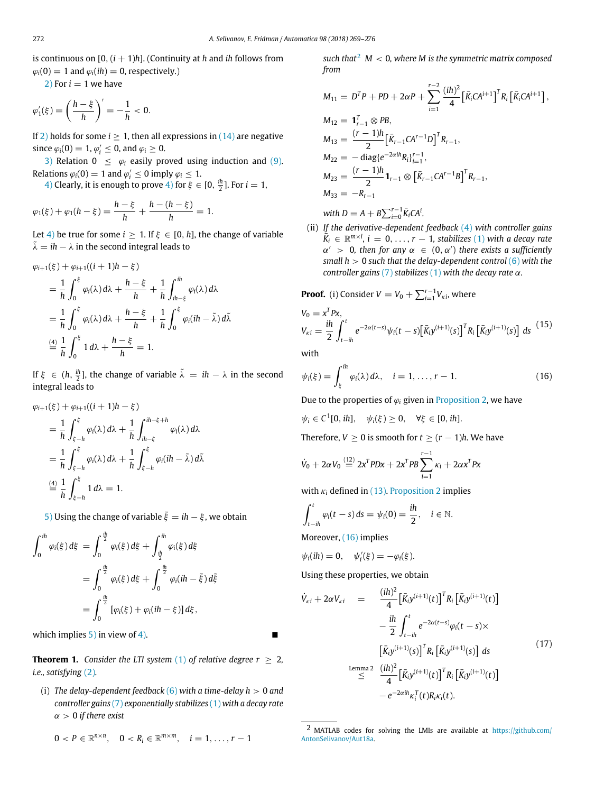is continuous on  $[0, (i + 1)h]$ . (Continuity at *h* and *ih* follows from  $\varphi_i(0) = 1$  and  $\varphi_i(ih) = 0$ , respectively.)

 $2)$  For  $i = 1$  we have

$$
\varphi_1'(\xi) = \left(\frac{h-\xi}{h}\right)' = -\frac{1}{h} < 0.
$$

If [2\)](#page-2-7) holds for some  $i \geq 1$ , then all expressions in  $(14)$  are negative since  $\varphi_i(0) = 1$ ,  $\varphi'_i \leq 0$ , and  $\varphi_i \geq 0$ .

[3\)](#page-2-9) Relation  $0 \leq \varphi_i$  easily proved using induction and [\(9\).](#page-2-3) Relations  $\varphi_i(0) = 1$  and  $\varphi'_i \leq 0$  imply  $\varphi_i \leq 1$ .

[4\)](#page-2-10) Clearly, it is enough to prove 4) for  $\xi \in [0, \frac{ih}{2}]$ . For  $i = 1$ ,

$$
\varphi_1(\xi) + \varphi_1(h - \xi) = \frac{h - \xi}{h} + \frac{h - (h - \xi)}{h} = 1.
$$

Let [4\)](#page-2-10) be true for some  $i \geq 1$ . If  $\xi \in [0, h]$ , the change of variable  $\tilde{\lambda} = i h - \lambda$  in the second integral leads to

$$
\varphi_{i+1}(\xi) + \varphi_{i+1}((i+1)h - \xi)
$$
\n
$$
= \frac{1}{h} \int_0^{\xi} \varphi_i(\lambda) d\lambda + \frac{h - \xi}{h} + \frac{1}{h} \int_{ih - \xi}^{ih} \varphi_i(\lambda) d\lambda
$$
\n
$$
= \frac{1}{h} \int_0^{\xi} \varphi_i(\lambda) d\lambda + \frac{h - \xi}{h} + \frac{1}{h} \int_0^{\xi} \varphi_i(ih - \tilde{\lambda}) d\tilde{\lambda}
$$
\n
$$
\stackrel{(4)}{=} \frac{1}{h} \int_0^{\xi} 1 d\lambda + \frac{h - \xi}{h} = 1.
$$

If  $\xi \in (h, \frac{ih}{2}]$ , the change of variable  $\tilde{\lambda} = ih - \lambda$  in the second integral leads to

$$
\varphi_{i+1}(\xi) + \varphi_{i+1}((i+1)h - \xi)
$$
\n
$$
= \frac{1}{h} \int_{\xi - h}^{\xi} \varphi_i(\lambda) d\lambda + \frac{1}{h} \int_{ih - \xi}^{ih - \xi + h} \varphi_i(\lambda) d\lambda
$$
\n
$$
= \frac{1}{h} \int_{\xi - h}^{\xi} \varphi_i(\lambda) d\lambda + \frac{1}{h} \int_{\xi - h}^{\xi} \varphi_i(ih - \tilde{\lambda}) d\tilde{\lambda}
$$
\n
$$
\stackrel{(4)}{=} \frac{1}{h} \int_{\xi - h}^{\xi} 1 d\lambda = 1.
$$

[5\)](#page-2-11) Using the change of variable  $\tilde{\xi} = i h - \xi$ , we obtain

$$
\int_0^{ih} \varphi_i(\xi) d\xi = \int_0^{\frac{ih}{2}} \varphi_i(\xi) d\xi + \int_{\frac{ih}{2}}^{ih} \varphi_i(\xi) d\xi
$$
  
= 
$$
\int_0^{\frac{ih}{2}} \varphi_i(\xi) d\xi + \int_0^{\frac{ih}{2}} \varphi_i(ih - \xi) d\xi
$$
  
= 
$$
\int_0^{\frac{ih}{2}} [\varphi_i(\xi) + \varphi_i(ih - \xi)] d\xi,
$$

which implies  $5$ ) in view of [4\)](#page-2-10).

<span id="page-3-2"></span>**Theorem 1.** *Consider the LTI system* [\(1\)](#page-1-5) *of relative degree*  $r \geq 2$ *, i.e., satisfying* [\(2\)](#page-1-2)*.*

(i) *The delay-dependent feedback* [\(6\)](#page-1-7) *with a time-delay h* > 0 *and controller gains* [\(7\)](#page-1-10) *exponentially stabilizes* [\(1\)](#page-1-5) *with a decay rate* α > 0 *if there exist*

$$
0 < P \in \mathbb{R}^{n \times n}, \quad 0 < R_i \in \mathbb{R}^{m \times m}, \quad i = 1, \ldots, r - 1
$$

*such that*[2](#page-3-0) *M* < 0*, where M is the symmetric matrix composed from*

$$
M_{11} = D^{T}P + PD + 2\alpha P + \sum_{i=1}^{r-2} \frac{(ih)^{2}}{4} \left[ \bar{K}_{i}CA^{i+1} \right]^{T} R_{i} \left[ \bar{K}_{i}CA^{i+1} \right],
$$
  
\n
$$
M_{12} = \mathbf{1}_{r-1}^{T} \otimes PB,
$$
  
\n
$$
M_{13} = \frac{(r-1)h}{2} \left[ \bar{K}_{r-1}CA^{r-1}D \right]^{T} R_{r-1},
$$
  
\n
$$
M_{22} = -\text{diag}\{e^{-2\alpha ih}R_{i}\}_{i=1}^{r-1},
$$
  
\n
$$
M_{23} = \frac{(r-1)h}{2} \mathbf{1}_{r-1} \otimes \left[ \bar{K}_{r-1}CA^{r-1}B \right]^{T} R_{r-1},
$$
  
\n
$$
M_{33} = -R_{r-1}
$$
  
\nwith  $D = A + B \sum_{i=0}^{r-1} \bar{K}_{i}CA^{i}.$ 

(ii) *If the derivative-dependent feedback* [\(4\)](#page-1-4) *with controller gains*  $\overline{K}_i \in \mathbb{R}^{m \times l}$ ,  $i = 0, \ldots, r - 1$ , stabilizes [\(1\)](#page-1-5) with a decay rate  $\alpha' > 0$ , then for any  $\alpha \in (0, \alpha')$  there exists a sufficiently *small h* > 0 *such that the delay-dependent control* [\(6\)](#page-1-7) *with the controller gains* [\(7\)](#page-1-10) *stabilizes* [\(1\)](#page-1-5) *with the decay rate* α*.*

**Proof.** (i) Consider 
$$
V = V_0 + \sum_{i=1}^{r-1} V_{ki}
$$
, where

<span id="page-3-3"></span>
$$
V_0 = x^T P x,
$$
  
\n
$$
V_{ki} = \frac{ih}{2} \int_{t-ih}^t e^{-2\alpha(t-s)} \psi_i(t-s) [\bar{K}_i y^{(i+1)}(s)]^T R_i [\bar{K}_i y^{(i+1)}(s)] ds
$$
\n(15)

with

<span id="page-3-1"></span>
$$
\psi_i(\xi) = \int_{\xi}^{ih} \varphi_i(\lambda) d\lambda, \quad i = 1, \dots, r-1.
$$
 (16)

Due to the properties of  $\varphi_i$  given in [Proposition 2](#page-2-0), we have

 $\psi_i \in C^1[0, ih], \quad \psi_i(\xi) \ge 0, \quad \forall \xi \in [0, ih].$ 

Therefore,  $V \ge 0$  is smooth for  $t \ge (r-1)h$ . We have

$$
\dot{V}_0 + 2\alpha V_0 \stackrel{(12)}{=} 2x^T P D x + 2x^T P B \sum_{i=1}^{r-1} \kappa_i + 2\alpha x^T P x
$$

with  $\kappa_i$  defined in [\(13\).](#page-2-12) [Proposition 2](#page-2-0) implies

$$
\int_{t-ih}^t \varphi_i(t-s) \, ds = \psi_i(0) = \frac{ih}{2}, \quad i \in \mathbb{N}.
$$

Moreover, [\(16\)](#page-3-1) implies

$$
\psi_i(ih) = 0, \quad \psi'_i(\xi) = -\varphi_i(\xi).
$$

Using these properties, we obtain

<span id="page-3-4"></span>
$$
\dot{V}_{ki} + 2\alpha V_{ki} = \frac{(ih)^2}{4} \left[ \bar{K}_i y^{(i+1)}(t) \right]^T R_i \left[ \bar{K}_i y^{(i+1)}(t) \right] \\
- \frac{ih}{2} \int_{t - ih}^t e^{-2\alpha(t - s)} \varphi_i(t - s) \times \\
\left[ \bar{K}_i y^{(i+1)}(s) \right]^T R_i \left[ \bar{K}_i y^{(i+1)}(s) \right] ds \\
\stackrel{\text{Lemma 2}}{\leq} \frac{(ih)^2}{4} \left[ \bar{K}_i y^{(i+1)}(t) \right]^T R_i \left[ \bar{K}_i y^{(i+1)}(t) \right] \\
- e^{-2\alpha ih} \kappa_i^T(t) R_i \kappa_i(t).
$$
\n(17)

<span id="page-3-0"></span><sup>2</sup> MATLAB codes for solving the LMIs are available at [https://github.com/](https://github.com/AntonSelivanov/Aut18a) [AntonSelivanov/Aut18a.](https://github.com/AntonSelivanov/Aut18a)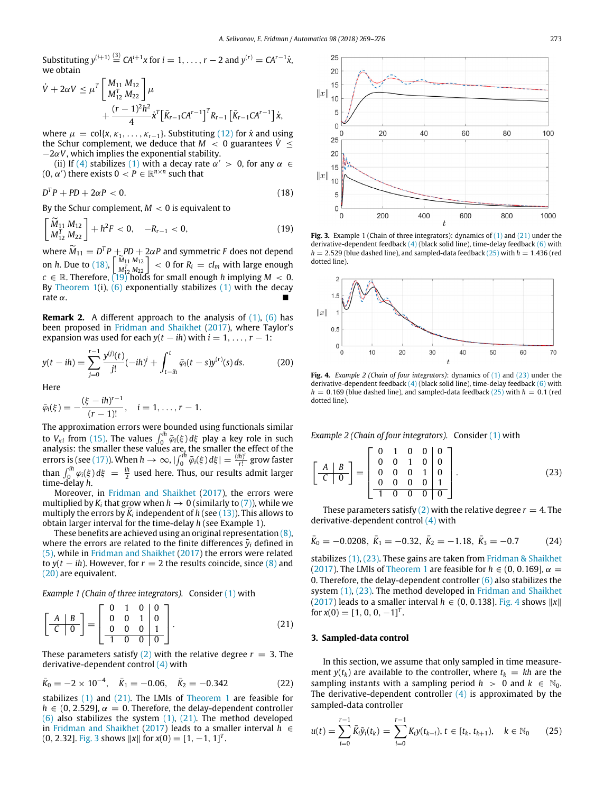Substituting  $y^{(i+1)} \stackrel{\text{(3)}}{=} CA^{i+1}x$  for  $i = 1, \ldots, r-2$  and  $y^{(r)} = CA^{r-1}\dot{x}$ , we obtain

$$
\dot{V} + 2\alpha V \le \mu^T \left[ \frac{M_{11} M_{12}}{M_{12}^T M_{22}} \right] \mu \n+ \frac{(r-1)^2 h^2}{4} \dot{x}^T \left[ \bar{K}_{r-1} C A^{r-1} \right]^T R_{r-1} \left[ \bar{K}_{r-1} C A^{r-1} \right] \dot{x},
$$

where  $\mu = \text{col}\{x, \kappa_1, \ldots, \kappa_{r-1}\}$ . Substituting [\(12\)](#page-2-4) for *x* and using the Schur complement, we deduce that  $M < 0$  guarantees  $\dot{V} \leq$  $-2\alpha V$ , which implies the exponential stability.

(ii) If [\(4\)](#page-1-4) stabilizes [\(1\)](#page-1-5) with a decay rate  $\alpha' > 0$ , for any  $\alpha \in$  $(0, \alpha')$  there exists  $0 < P \in \mathbb{R}^{n \times n}$  such that

<span id="page-4-3"></span>
$$
D^T P + P D + 2\alpha P < 0. \tag{18}
$$

By the Schur complement,  $M < 0$  is equivalent to

<span id="page-4-4"></span>
$$
\begin{bmatrix}\widetilde{M}_{11} M_{12}\\ M_{12}^T M_{22}\end{bmatrix} + h^2 F < 0, \quad -R_{r-1} < 0,\tag{19}
$$

where  $\tilde{M}_{11} = D^T P + P D + 2\alpha P$  and symmetric *F* does not depend on *h*. Due to [\(18\)](#page-4-3),  $\begin{bmatrix} M_{11} M_{12} \\ M_{12}^T M_{22} \end{bmatrix}$  < 0 for  $R_i = cl_m$  with large enough  $c \in \mathbb{R}$ . Therefore,  $(19)^2$  $(19)^2$ holds for small enough *h* implying  $M < 0$ . By [Theorem 1\(](#page-3-2)i),  $(6)$  exponentially stabilizes  $(1)$  with the decay rate  $\alpha$ .

<span id="page-4-1"></span>**Remark 2.** A different approach to the analysis of [\(1\)](#page-1-5), [\(6\)](#page-1-7) has been proposed in [Fridman](#page-7-14) [and](#page-7-14) [Shaikhet](#page-7-14) [\(2017](#page-7-14)), where Taylor's expansion was used for each  $y(t - ih)$  with  $i = 1, \ldots, r - 1$ :

<span id="page-4-5"></span>
$$
y(t - ih) = \sum_{j=0}^{r-1} \frac{y^{(j)}(t)}{j!}(-ih)^j + \int_{t-ih}^t \bar{\varphi}_i(t - s)y^{(r)}(s) ds.
$$
 (20)

Here

$$
\bar{\varphi}_i(\xi) = -\frac{(\xi - ih)^{r-1}}{(r-1)!}, \quad i = 1, \ldots, r-1.
$$

The approximation errors were bounded using functionals similar to  $V_{\kappa i}$  from [\(15\).](#page-3-3) The values  $\int_0^{ih} \bar{\varphi}_i(\xi) d\xi$  play a key role in such analysis: the smaller these values are, the smaller the effect of the errors is (see [\(17\)](#page-3-4)). When  $h \to \infty$ ,  $|\int_0^{ih} \bar{\varphi}_i(\xi) d\xi| = \frac{(ih)^i}{r!}$ *r*! grow faster than  $\int_0^{ih} \varphi_i(\xi) d\xi = \frac{ih}{2}$  used here. Thus, our results admit larger time-delay *h*.

Moreover, in [Fridman](#page-7-14) [and](#page-7-14) [Shaikhet](#page-7-14) [\(2017](#page-7-14)), the errors were multiplied by  $K_i$  that grow when  $h \to 0$  (similarly to [\(7\)](#page-1-10)), while we  $\frac{1}{2}$  in the errors by  $\overline{K}_i$  independent of *h* (see [\(13\)\)](#page-2-12). This allows to obtain larger interval for the time-delay *h* (see Example 1).

These benefits are achieved using an original representation  $(8)$ , where the errors are related to the finite differences  $\tilde{y}_i$  defined in [\(5\)](#page-1-8), while in [Fridman](#page-7-14) [and](#page-7-14) [Shaikhet](#page-7-14) ([2017\)](#page-7-14) the errors were related to  $y(t - ih)$ . However, for  $r = 2$  the results coincide, since  $(8)$  and [\(20\)](#page-4-5) are equivalent.

*Example 1 (Chain of three integrators).* Consider [\(1\)](#page-1-5) with

<span id="page-4-6"></span>
$$
\left[\begin{array}{c|c}\nA & B \\
\hline\nC & 0\n\end{array}\right] = \left[\begin{array}{cc|c}\n0 & 1 & 0 & 0 \\
0 & 0 & 1 & 0 \\
0 & 0 & 0 & 1 \\
\hline\n1 & 0 & 0 & 0\n\end{array}\right].
$$
\n(21)

These parameters satisfy  $(2)$  with the relative degree  $r = 3$ . The derivative-dependent control [\(4\)](#page-1-4) with

<span id="page-4-10"></span>
$$
\bar{K}_0 = -2 \times 10^{-4}, \quad \bar{K}_1 = -0.06, \quad \bar{K}_2 = -0.342 \tag{22}
$$

stabilizes [\(1\)](#page-1-5) and [\(21\)](#page-4-6). The LMIs of [Theorem 1](#page-3-2) are feasible for  $h \in (0, 2.529], \alpha = 0$ . Therefore, the delay-dependent controller  $(6)$  also stabilizes the system  $(1)$ ,  $(21)$ . The method developed in [Fridman](#page-7-14) [and](#page-7-14) [Shaikhet](#page-7-14) ([2017\)](#page-7-14) leads to a smaller interval *h* ∈  $(0, 2.32]$ . [Fig. 3](#page-4-7) shows  $||x||$  for  $x(0) = [1, -1, 1]^T$ .

<span id="page-4-7"></span>

**Fig. 3.** Example 1 (Chain of three integrators): dynamics of [\(1\)](#page-1-5) and [\(21\)](#page-4-6) under the derivative-dependent feedback  $(4)$  (black solid line), time-delay feedback  $(6)$  with  $h = 2.529$  (blue dashed line), and sampled-data feedback  $(25)$  with  $h = 1.436$  (red dotted line).

<span id="page-4-9"></span>

**Fig. 4.** *Example 2 (Chain of four integrators)*: dynamics of [\(1\)](#page-1-5) and [\(23\)](#page-4-8) under the derivative-dependent feedback  $(4)$  (black solid line), time-delay feedback  $(6)$  with  $h = 0.169$  (blue dashed line), and sampled-data feedback  $(25)$  with  $h = 0.1$  (red dotted line).

*Example 2 (Chain of four integrators).* Consider [\(1\)](#page-1-5) with

<span id="page-4-8"></span>
$$
\left[\begin{array}{c|c}\nA & B \\
\hline\nC & 0\n\end{array}\right] = \left[\begin{array}{cc|cc}\n0 & 1 & 0 & 0 & 0 \\
0 & 0 & 1 & 0 & 0 \\
0 & 0 & 0 & 1 & 0 \\
0 & 0 & 0 & 0 & 1 \\
\hline\n1 & 0 & 0 & 0 & 0\n\end{array}\right].
$$
\n(23)

These parameters satisfy  $(2)$  with the relative degree  $r = 4$ . The derivative-dependent control [\(4\)](#page-1-4) with

<span id="page-4-11"></span>
$$
\bar{K}_0 = -0.0208, \ \bar{K}_1 = -0.32, \ \bar{K}_2 = -1.18, \ \bar{K}_3 = -0.7
$$
\n(24)

stabilizes [\(1\),](#page-1-5) [\(23\).](#page-4-8) These gains are taken from [Fridman](#page-7-14) [&](#page-7-14) [Shaikhet](#page-7-14) ([2017\)](#page-7-14). The LMIs of [Theorem 1](#page-3-2) are feasible for  $h \in (0, 0.169]$ ,  $\alpha =$ 0. Therefore, the delay-dependent controller  $(6)$  also stabilizes the system [\(1\)](#page-1-5), [\(23\)](#page-4-8). The method developed in [Fridman](#page-7-14) [and](#page-7-14) [Shaikhet](#page-7-14) ([2017\)](#page-7-14) leads to a smaller interval *h* ∈ (0, 0.138]. [Fig. 4](#page-4-9) shows ∥*x*∥ for  $x(0) = [1, 0, 0, -1]^T$ .

#### <span id="page-4-0"></span>**3. Sampled-data control**

∑*r*−1

In this section, we assume that only sampled in time measurement  $y(t_k)$  are available to the controller, where  $t_k = kh$  are the sampling instants with a sampling period  $h > 0$  and  $k \in \mathbb{N}_0$ . The derivative-dependent controller  $(4)$  is approximated by the sampled-data controller

<span id="page-4-2"></span>
$$
u(t) = \sum_{i=0}^{r-1} \bar{K}_i \tilde{y}_i(t_k) = \sum_{i=0}^{r-1} K_i y(t_{k-i}), \quad t \in [t_k, t_{k+1}), \quad k \in \mathbb{N}_0 \qquad (25)
$$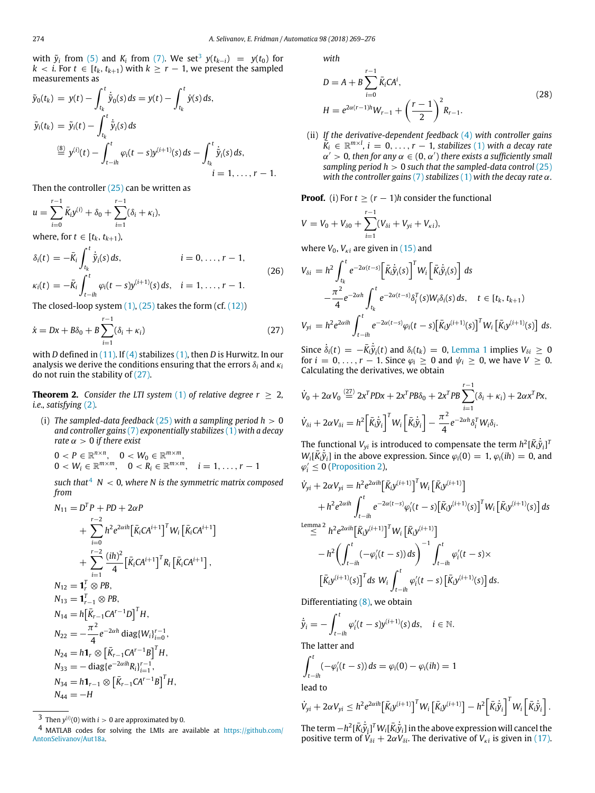with  $\tilde{y}_i$  from [\(5\)](#page-1-8) and  $K_i$  from [\(7\).](#page-1-10) We set<sup>[3](#page-5-0)</sup>  $y(t_{k-i}) = y(t_0)$  for *k* < *i*. For *t* ∈  $[t_k, t_{k+1})$  with  $k \geq r - 1$ , we present the sampled measurements as

$$
\tilde{y}_0(t_k) = y(t) - \int_{t_k}^t \dot{\tilde{y}}_0(s) ds = y(t) - \int_{t_k}^t \dot{y}(s) ds,
$$
\n
$$
\tilde{y}_i(t_k) = \tilde{y}_i(t) - \int_{t_k}^t \dot{\tilde{y}}_i(s) ds
$$
\n
$$
\stackrel{\text{(8)}}{=} y^{(i)}(t) - \int_{t - ih}^t \varphi_i(t - s) y^{(i+1)}(s) ds - \int_{t_k}^t \dot{\tilde{y}}_i(s) ds,
$$
\n
$$
i = 1, ..., r - 1.
$$

Then the controller [\(25\)](#page-4-2) can be written as

$$
u = \sum_{i=0}^{r-1} \bar{K}_i y^{(i)} + \delta_0 + \sum_{i=1}^{r-1} (\delta_i + \kappa_i),
$$

where, for  $t \in [t_k, t_{k+1})$ ,

<span id="page-5-4"></span>
$$
\delta_i(t) = -\bar{K}_i \int_{t_k}^t \dot{\tilde{y}}_i(s) ds, \qquad i = 0, \dots, r - 1,
$$
  
\n
$$
\kappa_i(t) = -\bar{K}_i \int_{t-ih}^t \varphi_i(t-s) y^{(i+1)}(s) ds, \quad i = 1, \dots, r - 1.
$$
\n(26)

The closed-loop system  $(1)$ ,  $(25)$  takes the form  $(cf. (12))$  $(cf. (12))$ 

<span id="page-5-1"></span>
$$
\dot{x} = Dx + B\delta_0 + B\sum_{i=1}^{r-1} (\delta_i + \kappa_i)
$$
\n(27)

with *D* defined in [\(11\).](#page-2-13) If [\(4\)](#page-1-4) stabilizes [\(1\)](#page-1-5), then *D* is Hurwitz. In our analysis we derive the conditions ensuring that the errors  $\delta_i$  and  $\kappa_i$ do not ruin the stability of [\(27\)](#page-5-1).

<span id="page-5-5"></span>**Theorem 2.** *Consider the LTI system* [\(1\)](#page-1-5) *of relative degree r*  $\geq$  2*, i.e., satisfying* [\(2\)](#page-1-2)*.*

(i) *The sampled-data feedback* [\(25\)](#page-4-2) *with a sampling period h* > 0 *and controller gains* [\(7\)](#page-1-10) *exponentially stabilizes* [\(1\)](#page-1-5) *with a decay rate*  $\alpha > 0$  *if there exist* 

 $0 < P \in \mathbb{R}^{n \times n}$ ,  $0 < W_0 \in \mathbb{R}^{m \times m}$ ,  $0 < W_i \in \mathbb{R}^{m \times m}$ ,  $0 < R_i \in \mathbb{R}^{m \times m}$ ,  $i = 1, ..., r - 1$ 

*such that*<sup>[4](#page-5-2)</sup>  $N < 0$ *, where N is the symmetric matrix composed from*

$$
N_{11} = D^{T} P + P D + 2\alpha P
$$
  
+ 
$$
\sum_{i=0}^{r-2} h^{2} e^{2\alpha i h} \left[ \bar{K}_{i} C A^{i+1} \right]^{T} W_{i} \left[ \bar{K}_{i} C A^{i+1} \right]
$$
  
+ 
$$
\sum_{i=1}^{r-2} \frac{(ih)^{2}}{4} \left[ \bar{K}_{i} C A^{i+1} \right]^{T} R_{i} \left[ \bar{K}_{i} C A^{i+1} \right],
$$
  

$$
N_{12} = \mathbf{1}_{r}^{T} \otimes P B,
$$
  

$$
N_{13} = \mathbf{1}_{r-1}^{T} \otimes P B,
$$
  

$$
N_{14} = h \left[ \bar{K}_{r-1} C A^{r-1} D \right]^{T} H,
$$
  

$$
N_{22} = -\frac{\pi^{2}}{4} e^{-2\alpha h} \operatorname{diag} \{ W_{i} \}_{i=0}^{r-1},
$$
  

$$
N_{24} = h \mathbf{1}_{r} \otimes \left[ \bar{K}_{r-1} C A^{r-1} B \right]^{T} H,
$$
  

$$
N_{33} = - \operatorname{diag} \{ e^{-2\alpha i h} R_{i} \}_{i=1}^{r-1},
$$
  

$$
N_{34} = h \mathbf{1}_{r-1} \otimes \left[ \bar{K}_{r-1} C A^{r-1} B \right]^{T} H,
$$
  

$$
N_{44} = -H
$$

*with*

<span id="page-5-3"></span>
$$
D = A + B \sum_{i=0}^{r-1} \bar{K}_i C A^i,
$$
  
\n
$$
H = e^{2\alpha(r-1)h} W_{r-1} + \left(\frac{r-1}{2}\right)^2 R_{r-1}.
$$
\n(28)

(ii) *If the derivative-dependent feedback* [\(4\)](#page-1-4) *with controller gains*  $\overline{K}_i \in \mathbb{R}^{m \times l}$ ,  $i = 0, \ldots, r - 1$ , stabilizes [\(1\)](#page-1-5) with a decay rate  $\alpha' > 0$ , then for any  $\alpha \in (0, \alpha')$  there exists a sufficiently small *sampling period h* > 0 *such that the sampled-data control* [\(25\)](#page-4-2) *with the controller gains* [\(7\)](#page-1-10) *stabilizes* [\(1\)](#page-1-5) *with the decay rate* α*.*

**Proof.** (i) For  $t \ge (r - 1)h$  consider the functional

$$
V = V_0 + V_{\delta 0} + \sum_{i=1}^{r-1} (V_{\delta i} + V_{yi} + V_{\kappa i}),
$$

where  $V_0$ ,  $V_{ki}$  are given in [\(15\)](#page-3-3) and

$$
V_{\delta i} = h^2 \int_{t_k}^t e^{-2\alpha(t-s)} \Big[ \bar{K}_i \dot{\tilde{y}}_i(s) \Big]^T W_i \Big[ \bar{K}_i \dot{\tilde{y}}_i(s) \Big] ds
$$
  

$$
- \frac{\pi^2}{4} e^{-2\alpha h} \int_{t_k}^t e^{-2\alpha(t-s)} \delta_i^T(s) W_i \delta_i(s) ds, \quad t \in [t_k, t_{k+1})
$$
  

$$
V_{yi} = h^2 e^{2\alpha i h} \int_{t-ih}^t e^{-2\alpha(t-s)} \varphi_i(t-s) \Big[ \bar{K}_i y^{(i+1)}(s) \Big]^T W_i \Big[ \bar{K}_i y^{(i+1)}(s) \Big] ds.
$$

Since  $\dot{\delta}_i(t) = -\overline{K}_i \dot{\overline{y}}_i(t)$  and  $\delta_i(t_k) = 0$ , [Lemma 1](#page-1-11) implies  $V_{\delta i} \geq 0$ for  $i = 0, \ldots, r - 1$ . Since  $\varphi_i \geq 0$  and  $\psi_i \geq 0$ , we have  $V \geq 0$ . Calculating the derivatives, we obtain

$$
\dot{V}_0 + 2\alpha V_0 \stackrel{(27)}{=} 2x^T P D x + 2x^T P B \delta_0 + 2x^T P B \sum_{i=1}^{r-1} (\delta_i + \kappa_i) + 2\alpha x^T P x,
$$
\n
$$
\dot{V}_{\delta i} + 2\alpha V_{\delta i} = h^2 \Big[ \bar{K}_i \dot{\tilde{y}}_i \Big]^T W_i \Big[ \bar{K}_i \dot{\tilde{y}}_i \Big] - \frac{\pi^2}{4} e^{-2\alpha h} \delta_i^T W_i \delta_i.
$$

The functional  $V_{yi}$  is introduced to compensate the term  $h^2[\bar{K}_i\dot{\tilde{y}}_i]^T$  $W_i[\vec{R}$ ;  $\vec{y}_i]$  in the above expression. Since  $\varphi_i(0) = 1$ ,  $\varphi_i(ih) = 0$ , and  $\varphi_i' \leq 0$  ([Proposition 2\)](#page-2-0),

$$
\dot{V}_{yi} + 2\alpha V_{yi} = h^2 e^{2\alpha i h} \left[ \bar{K}_{i} y^{(i+1)} \right]^T W_i \left[ \bar{K}_{i} y^{(i+1)} \right] \n+ h^2 e^{2\alpha i h} \int_{t - i h}^{t} e^{-2\alpha (t - s)} \varphi_i'(t - s) \left[ \bar{K}_{i} y^{(i+1)}(s) \right]^T W_i \left[ \bar{K}_{i} y^{(i+1)}(s) \right] ds \n\overset{\text{Lemma 2}}{\leq} h^2 e^{2\alpha i h} \left[ \bar{K}_{i} y^{(i+1)} \right]^T W_i \left[ \bar{K}_{i} y^{(i+1)} \right] \n- h^2 \left( \int_{t - i h}^{t} (-\varphi_i'(t - s)) ds \right)^{-1} \int_{t - i h}^{t} \varphi_i'(t - s) \times \n\left[ \bar{K}_{i} y^{(i+1)}(s) \right]^T ds W_i \int_{t - i h}^{t} \varphi_i'(t - s) \left[ \bar{K}_{i} y^{(i+1)}(s) \right] ds.
$$
\nDifferentiating (8) we obtain

Differentiating [\(8\),](#page-1-9) we obtain

$$
\dot{\tilde{y}}_i=-\int_{t-ih}^t\varphi'_i(t-s)y^{(i+1)}(s)\,ds,\quad i\in\mathbb{N}.
$$

The latter and

$$
\int_{t-ih}^{t} (-\varphi'_i(t-s)) ds = \varphi_i(0) - \varphi_i(ih) = 1
$$

lead to

$$
\dot{V}_{yi} + 2\alpha V_{yi} \leq h^2 e^{2\alpha i \hbar} \left[ \bar{K}_i y^{(i+1)} \right]^T W_i \left[ \bar{K}_i y^{(i+1)} \right] - h^2 \left[ \bar{K}_i \dot{\tilde{y}}_i \right]^T W_i \left[ \bar{K}_i \dot{\tilde{y}}_i \right].
$$

The term  $-h^2[\bar{K}_i\dot{\tilde{y}}_i]^T W_i[\bar{K}_i\dot{\tilde{y}}_i]$  in the above expression will cancel the positive term of  $V_{\delta i}$  +  $2\alpha V_{\delta i}$ . The derivative of  $V_{\kappa i}$  is given in [\(17\).](#page-3-4)

<span id="page-5-0"></span><sup>&</sup>lt;sup>3</sup> Then  $y^{(i)}(0)$  with  $i > 0$  are approximated by 0.

<span id="page-5-2"></span><sup>4</sup> MATLAB codes for solving the LMIs are available at [https://github.com/](https://github.com/AntonSelivanov/Aut18a) [AntonSelivanov/Aut18a.](https://github.com/AntonSelivanov/Aut18a)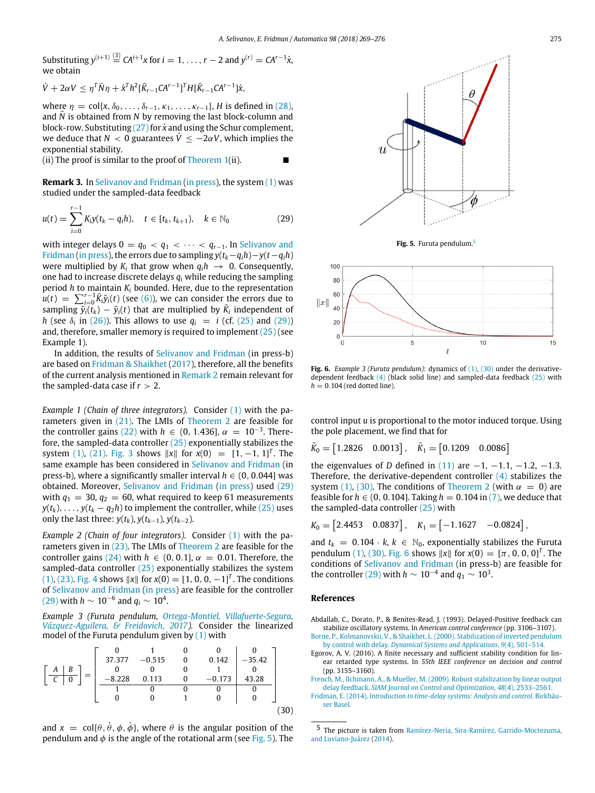Substituting  $y^{(i+1)} \stackrel{\text{(3)}}{=} CA^{i+1}x$  for  $i = 1, \ldots, r-2$  and  $y^{(r)} = CA^{r-1}\dot{x}$ , we obtain

$$
\dot{V} + 2\alpha V \leq \eta^T \bar{N} \eta + \dot{x}^T h^2 [\bar{K}_{r-1} C A^{r-1}]^T H [\bar{K}_{r-1} C A^{r-1}] \dot{x},
$$

where  $\eta = \text{col}\{x, \delta_0, \ldots, \delta_{r-1}, \kappa_1, \ldots, \kappa_{r-1}\}, H$  is defined in [\(28\),](#page-5-3) and  $\bar{N}$  is obtained from  $N$  by removing the last block-column and block-row. Substituting [\(27\)](#page-5-1) for  $\dot{x}$  and using the Schur complement, we deduce that  $N < 0$  guarantees  $\dot{V} \le -2\alpha V$ , which implies the exponential stability.

(ii) The proof is similar to the proof of Theorem  $1$ (ii).

<span id="page-6-5"></span>**Remark 3.** In [Selivanov](#page-7-13) [and](#page-7-13) [Fridman](#page-7-13) ([in](#page-7-13) [press](#page-7-13)), the system [\(1\)](#page-1-5) was studied under the sampled-data feedback

<span id="page-6-6"></span>
$$
u(t) = \sum_{i=0}^{r-1} K_i y(t_k - q_i h), \quad t \in [t_k, t_{k+1}), \quad k \in \mathbb{N}_0
$$
 (29)

with integer delays  $0 = q_0 < q_1 < \cdots < q_{r-1}$ . In [Selivanov](#page-7-13) [and](#page-7-13) [Fridman](#page-7-13) [\(in](#page-7-13) [press](#page-7-13)), the errors due to sampling  $y(t_k-q_ih) - y(t-q_ih)$ were multiplied by  $K_i$  that grow when  $q_i h \rightarrow 0$ . Consequently, one had to increase discrete delays *q<sup>i</sup>* while reducing the sampling period *h* to maintain *K<sup>i</sup>* bounded. Here, due to the representation  $u(t) = \sum_{i=0}^{r-1} \bar{K}_i \tilde{y}_i(t)$  (see [\(6\)](#page-1-7)), we can consider the errors due to sampling  $\widetilde{y}_i(t_k) - \widetilde{y}_i(t)$  that are multiplied by  $\overline{K}_i$  independent of *h* (see  $\delta_i$  in [\(26\)](#page-5-4)). This allows to use  $q_i = i$  (cf. [\(25\)](#page-4-2) and [\(29\)\)](#page-6-6) and, therefore, smaller memory is required to implement  $(25)$  (see Example 1).

In addition, the results of [Selivanov](#page-7-13) [and](#page-7-13) [Fridman](#page-7-13) (in press-b) are based on [Fridman](#page-7-14) [&](#page-7-14) [Shaikhet](#page-7-14) [\(2017](#page-7-14)), therefore, all the benefits of the current analysis mentioned in [Remark 2](#page-4-1) remain relevant for the sampled-data case if  $r > 2$ .

*Example 1 (Chain of three integrators).* Consider [\(1\)](#page-1-5) with the parameters given in [\(21\).](#page-4-6) The LMIs of [Theorem 2](#page-5-5) are feasible for the controller gains [\(22\)](#page-4-10) with  $h \in (0, 1.436]$ ,  $\alpha = 10^{-3}$ . Therefore, the sampled-data controller [\(25\)](#page-4-2) exponentially stabilizes the system [\(1\)](#page-1-5), [\(21\).](#page-4-6) [Fig. 3](#page-4-7) shows  $||x||$  for  $x(0) = [1, -1, 1]^T$ . The same example has been considered in [Selivanov](#page-7-13) [and](#page-7-13) [Fridman](#page-7-13) (in press-b), where a significantly smaller interval  $h \in (0, 0.044]$  was obtained. Moreover, [Selivanov](#page-7-13) [and](#page-7-13) [Fridman](#page-7-13) [\(in](#page-7-13) [press](#page-7-13)) used [\(29\)](#page-6-6) with  $q_1 = 30$ ,  $q_2 = 60$ , what required to keep 61 measurements *y*( $t_k$ ), ..., *y*( $t_k - q_2h$ ) to implement the controller, while [\(25\)](#page-4-2) uses only the last three:  $y(t_k)$ ,  $y(t_{k-1})$ ,  $y(t_{k-2})$ .

*Example 2 (Chain of four integrators).* Consider [\(1\)](#page-1-5) with the parameters given in [\(23\).](#page-4-8) The LMIs of [Theorem 2](#page-5-5) are feasible for the controller gains [\(24\)](#page-4-11) with  $h \in (0, 0.1]$ ,  $\alpha = 0.01$ . Therefore, the sampled-data controller [\(25\)](#page-4-2) exponentially stabilizes the system [\(1\)](#page-1-5), [\(23\)](#page-4-8). [Fig. 4](#page-4-9) shows  $||x||$  for  $x(0) = [1, 0, 0, -1]^T$ . The conditions of [Selivanov](#page-7-13) [and](#page-7-13) [Fridman](#page-7-13) ([in](#page-7-13) [press\)](#page-7-13) are feasible for the controller  $(29)$  with  $h \sim 10^{-6}$  and  $q_i \sim 10^4$ .

*Example 3 (Furuta pendulum, [Ortega-Montiel,](#page-7-19) [Villafuerte-Segura,](#page-7-19) [Vázquez-Aguilera,](#page-7-19) [&](#page-7-19) [Freidovich,](#page-7-19) [2017](#page-7-19)).* Consider the linearized model of the Furuta pendulum given by [\(1\)](#page-1-5) with

<span id="page-6-9"></span>

and  $x = \text{col}\{\theta, \dot{\theta}, \phi, \dot{\phi}\}\)$ , where  $\theta$  is the angular position of the pendulum and  $\phi$  is the angle of the rotational arm (see [Fig. 5](#page-6-7)). The

<span id="page-6-7"></span>

**Fig. 5.** Furuta pendulum.[5](#page-6-8)

<span id="page-6-10"></span>

Fig. 6. *Example 3 (Furuta pendulum)*: dynamics of [\(1\),](#page-1-5) [\(30\)](#page-6-9) under the derivativedependent feedback [\(4\)](#page-1-4) (black solid line) and sampled-data feedback [\(25\)](#page-4-2) with  $h = 0.104$  (red dotted line).

control input *u* is proportional to the motor induced torque. Using the pole placement, we find that for

 $\bar{K}_0 = [1.2826 \quad 0.0013], \quad \bar{K}_1 = [0.1209 \quad 0.0086]$ 

the eigenvalues of *D* defined in [\(11\)](#page-2-13) are  $-1$ ,  $-1.1$ ,  $-1.2$ ,  $-1.3$ . Therefore, the derivative-dependent controller [\(4\)](#page-1-4) stabilizes the system [\(1\)](#page-1-5), [\(30\)](#page-6-9). The conditions of [Theorem 2](#page-5-5) (with  $\alpha = 0$ ) are feasible for  $h \in (0, 0.104]$ . Taking  $h = 0.104$  in [\(7\),](#page-1-10) we deduce that the sampled-data controller [\(25\)](#page-4-2) with

$$
K_0 = [2.4453 \quad 0.0837], \quad K_1 = [-1.1627 \quad -0.0824],
$$

and  $t_k = 0.104 \cdot k, k \in \mathbb{N}_0$ , exponentially stabilizes the Furuta pendulum [\(1\)](#page-1-5), [\(30\).](#page-6-9) [Fig. 6](#page-6-10) shows  $||x||$  for  $x(0) = [\pi, 0, 0, 0]^T$ . The conditions of [Selivanov](#page-7-13) [and](#page-7-13) [Fridman](#page-7-13) (in press-b) are feasible for the controller [\(29\)](#page-6-6) with  $h \sim 10^{-4}$  and  $q_1 \sim 10^3$ .

### **References**

- <span id="page-6-2"></span>Abdallab, C., Dorato, P., & Benites-Read, J. (1993). Delayed-Positive feedback can stabilize oscillatory systems. In *American control conference* (pp. 3106–3107). [Borne, P., Kolmanovskii, V., & Shaikhet, L.\(2000\).](http://refhub.elsevier.com/S0005-1098(18)30460-6/sb2) [Stabilization of inverted pendulum](http://refhub.elsevier.com/S0005-1098(18)30460-6/sb2)
- <span id="page-6-0"></span>[by control with delay.](http://refhub.elsevier.com/S0005-1098(18)30460-6/sb2) *[Dynamical Systems and Applications](http://refhub.elsevier.com/S0005-1098(18)30460-6/sb2)*, *9*[\(4\),](http://refhub.elsevier.com/S0005-1098(18)30460-6/sb2) [501–514](http://refhub.elsevier.com/S0005-1098(18)30460-6/sb2). Egorov, A. V. (2016). A finite necessary and sufficient stability condition for lin-
- <span id="page-6-3"></span>ear retarded type systems. In *55th IEEE conference on decision and control* (pp. 3155–3160).
- <span id="page-6-1"></span>[French, M., Ilchmann, A., & Mueller, M.](http://refhub.elsevier.com/S0005-1098(18)30460-6/sb4) [\(2009\).](http://refhub.elsevier.com/S0005-1098(18)30460-6/sb4) [Robust stabilization by linear output](http://refhub.elsevier.com/S0005-1098(18)30460-6/sb4) [delay feedback.](http://refhub.elsevier.com/S0005-1098(18)30460-6/sb4) *[SIAM Journal on Control and Optimization](http://refhub.elsevier.com/S0005-1098(18)30460-6/sb4)*, *48*[\(4\),](http://refhub.elsevier.com/S0005-1098(18)30460-6/sb4) [2533–2561.](http://refhub.elsevier.com/S0005-1098(18)30460-6/sb4)

<span id="page-6-4"></span>Fridman, E. [\(2014\).](http://refhub.elsevier.com/S0005-1098(18)30460-6/sb5) *[Introduction to time-delay systems: Analysis and control](http://refhub.elsevier.com/S0005-1098(18)30460-6/sb5)*. [Birkhäu](http://refhub.elsevier.com/S0005-1098(18)30460-6/sb5)[ser Basel.](http://refhub.elsevier.com/S0005-1098(18)30460-6/sb5)

<span id="page-6-8"></span><sup>5</sup> The picture is taken from [Ramírez-Neria,](#page-7-20) [Sira-Ramírez,](#page-7-20) [Garrido-Moctezuma,](#page-7-20) [and](#page-7-20) [Luviano-Juárez](#page-7-20) ([2014\)](#page-7-20).